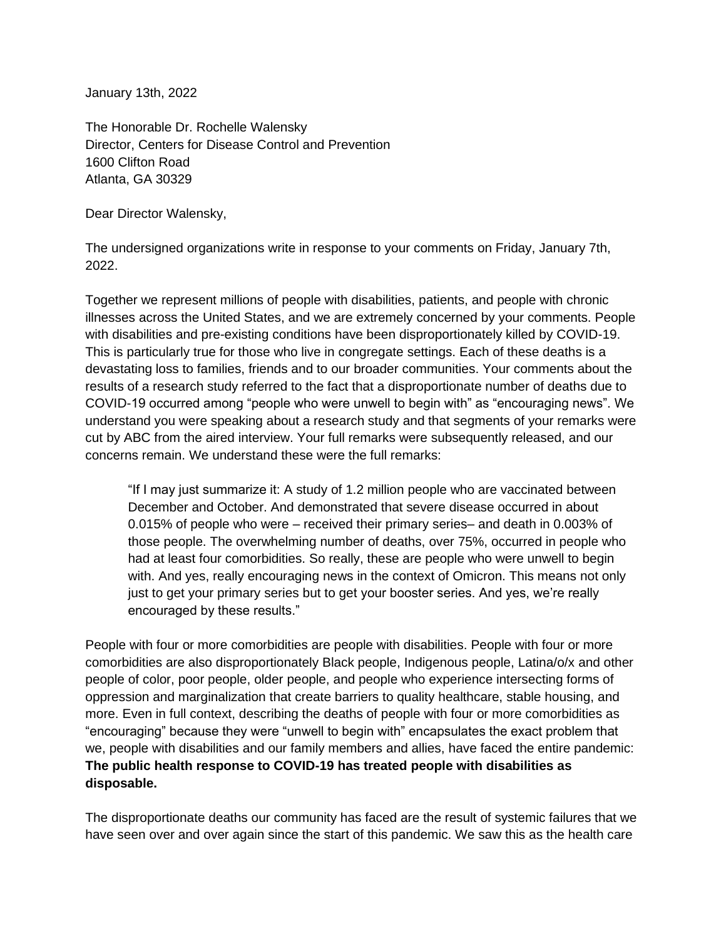January 13th, 2022

The Honorable Dr. Rochelle Walensky Director, Centers for Disease Control and Prevention 1600 Clifton Road Atlanta, GA 30329

Dear Director Walensky,

The undersigned organizations write in response to your comments on Friday, January 7th, 2022.

Together we represent millions of people with disabilities, patients, and people with chronic illnesses across the United States, and we are extremely concerned by your comments. People with disabilities and pre-existing conditions have been disproportionately killed by COVID-19. This is particularly true for those who live in congregate settings. Each of these deaths is a devastating loss to families, friends and to our broader communities. Your comments about the results of a research study referred to the fact that a disproportionate number of deaths due to COVID-19 occurred among "people who were unwell to begin with" as "encouraging news". We understand you were speaking about a research study and that segments of your remarks were cut by ABC from the aired interview. Your full remarks were subsequently released, and our concerns remain. We understand these were the full remarks:

"If I may just summarize it: A study of 1.2 million people who are vaccinated between December and October. And demonstrated that severe disease occurred in about 0.015% of people who were – received their primary series– and death in 0.003% of those people. The overwhelming number of deaths, over 75%, occurred in people who had at least four comorbidities. So really, these are people who were unwell to begin with. And yes, really encouraging news in the context of Omicron. This means not only just to get your primary series but to get your booster series. And yes, we're really encouraged by these results."

People with four or more comorbidities are people with disabilities. People with four or more comorbidities are also disproportionately Black people, Indigenous people, Latina/o/x and other people of color, poor people, older people, and people who experience intersecting forms of oppression and marginalization that create barriers to quality healthcare, stable housing, and more. Even in full context, describing the deaths of people with four or more comorbidities as "encouraging" because they were "unwell to begin with" encapsulates the exact problem that we, people with disabilities and our family members and allies, have faced the entire pandemic: **The public health response to COVID-19 has treated people with disabilities as disposable.**

The disproportionate deaths our community has faced are the result of systemic failures that we have seen over and over again since the start of this pandemic. We saw this as the health care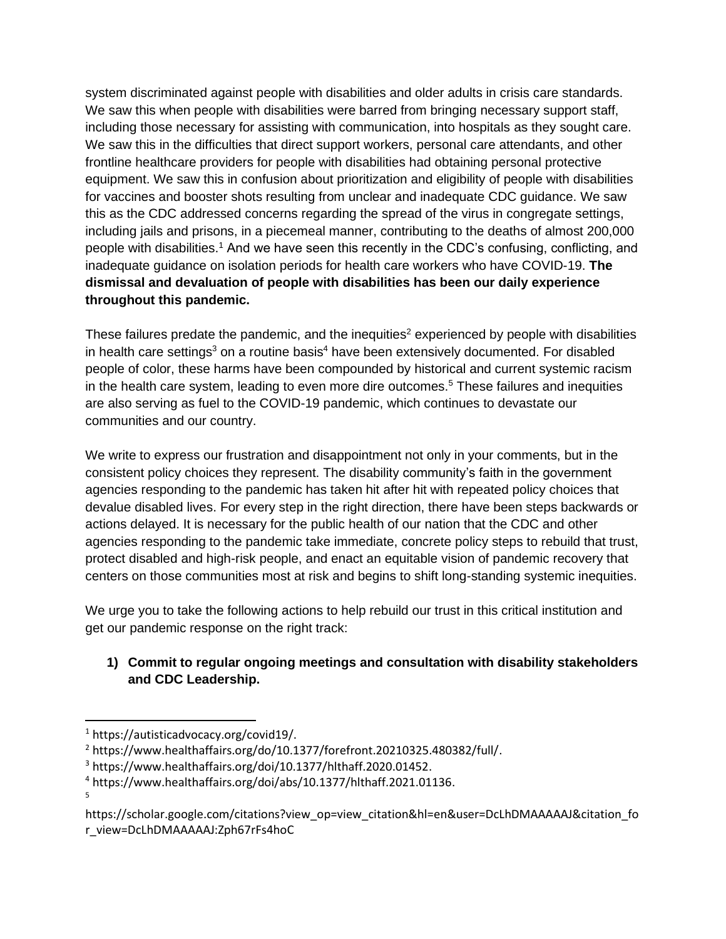system discriminated against people with disabilities and older adults in crisis care standards. We saw this when people with disabilities were barred from bringing necessary support staff, including those necessary for assisting with communication, into hospitals as they sought care. We saw this in the difficulties that direct support workers, personal care attendants, and other frontline healthcare providers for people with disabilities had obtaining personal protective equipment. We saw this in confusion about prioritization and eligibility of people with disabilities for vaccines and booster shots resulting from unclear and inadequate CDC guidance. We saw this as the CDC addressed concerns regarding the spread of the virus in congregate settings, including jails and prisons, in a piecemeal manner, contributing to the deaths of almost 200,000 people with disabilities.<sup>1</sup> And we have seen this recently in the CDC's confusing, conflicting, and inadequate guidance on isolation periods for health care workers who have COVID-19. **The dismissal and devaluation of people with disabilities has been our daily experience throughout this pandemic.**

These failures predate the pandemic, and the inequities<sup>2</sup> experienced by people with disabilities in health care settings<sup>3</sup> on a routine basis<sup>4</sup> have been extensively documented. For disabled people of color, these harms have been compounded by historical and current systemic racism in the health care system, leading to even more dire outcomes.<sup>5</sup> These failures and inequities are also serving as fuel to the COVID-19 pandemic, which continues to devastate our communities and our country.

We write to express our frustration and disappointment not only in your comments, but in the consistent policy choices they represent. The disability community's faith in the government agencies responding to the pandemic has taken hit after hit with repeated policy choices that devalue disabled lives. For every step in the right direction, there have been steps backwards or actions delayed. It is necessary for the public health of our nation that the CDC and other agencies responding to the pandemic take immediate, concrete policy steps to rebuild that trust, protect disabled and high-risk people, and enact an equitable vision of pandemic recovery that centers on those communities most at risk and begins to shift long-standing systemic inequities.

We urge you to take the following actions to help rebuild our trust in this critical institution and get our pandemic response on the right track:

## **1) Commit to regular ongoing meetings and consultation with disability stakeholders and CDC Leadership.**

5

<sup>1</sup> [https://autisticadvocacy.org/covid19/.](https://autisticadvocacy.org/covid19/)

<sup>2</sup> [https://www.healthaffairs.org/do/10.1377/forefront.20210325.480382/full/.](https://www.healthaffairs.org/do/10.1377/forefront.20210325.480382/full/)

<sup>3</sup> [https://www.healthaffairs.org/doi/10.1377/hlthaff.2020.01452.](https://www.healthaffairs.org/doi/10.1377/hlthaff.2020.01452)

<sup>4</sup> [https://www.healthaffairs.org/doi/abs/10.1377/hlthaff.2021.01136.](https://www.healthaffairs.org/doi/abs/10.1377/hlthaff.2021.01136)

https://scholar.google.com/citations?view\_op=view\_citation&hl=en&user=DcLhDMAAAAAJ&citation\_fo r\_view=DcLhDMAAAAAJ:Zph67rFs4hoC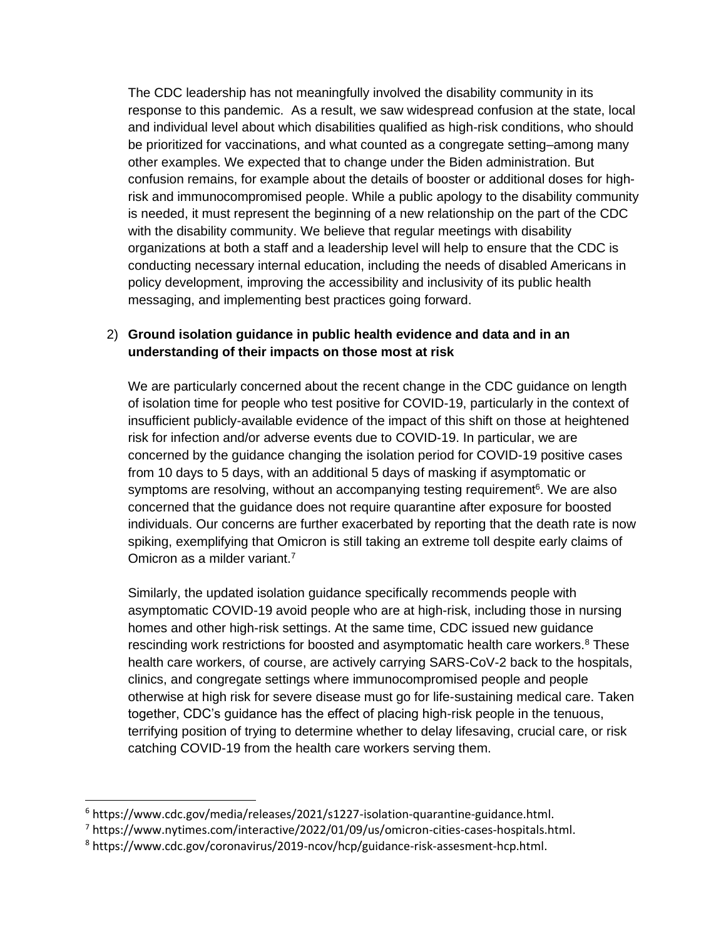The CDC leadership has not meaningfully involved the disability community in its response to this pandemic. As a result, we saw widespread confusion at the state, local and individual level about which disabilities qualified as high-risk conditions, who should be prioritized for vaccinations, and what counted as a congregate setting–among many other examples. We expected that to change under the Biden administration. But confusion remains, for example about the details of booster or additional doses for highrisk and immunocompromised people. While a public apology to the disability community is needed, it must represent the beginning of a new relationship on the part of the CDC with the disability community. We believe that regular meetings with disability organizations at both a staff and a leadership level will help to ensure that the CDC is conducting necessary internal education, including the needs of disabled Americans in policy development, improving the accessibility and inclusivity of its public health messaging, and implementing best practices going forward.

## 2) **Ground isolation guidance in public health evidence and data and in an understanding of their impacts on those most at risk**

We are particularly concerned about the recent change in the CDC guidance on length of isolation time for people who test positive for COVID-19, particularly in the context of insufficient publicly-available evidence of the impact of this shift on those at heightened risk for infection and/or adverse events due to COVID-19. In particular, we are concerned by the guidance changing the isolation period for COVID-19 positive cases from 10 days to 5 days, with an additional 5 days of masking if asymptomatic or symptoms are resolving, without an accompanying testing requirement<sup>6</sup>. We are also concerned that the guidance does not require quarantine after exposure for boosted individuals. Our concerns are further exacerbated by reporting that the death rate is now spiking, exemplifying that Omicron is still taking an extreme toll despite early claims of Omicron as a milder variant.<sup>7</sup>

Similarly, the updated isolation guidance specifically recommends people with asymptomatic COVID-19 avoid people who are at high-risk, including those in nursing homes and other high-risk settings. At the same time, CDC issued new guidance rescinding work restrictions for boosted and asymptomatic health care workers.<sup>8</sup> These health care workers, of course, are actively carrying SARS-CoV-2 back to the hospitals, clinics, and congregate settings where immunocompromised people and people otherwise at high risk for severe disease must go for life-sustaining medical care. Taken together, CDC's guidance has the effect of placing high-risk people in the tenuous, terrifying position of trying to determine whether to delay lifesaving, crucial care, or risk catching COVID-19 from the health care workers serving them.

 $6$  [https://www.cdc.gov/media/releases/2021/s1227-isolation-quarantine-guidance.html.](https://www.cdc.gov/media/releases/2021/s1227-isolation-quarantine-guidance.html)

<sup>7</sup> [https://www.nytimes.com/interactive/2022/01/09/us/omicron-cities-cases-hospitals.html.](https://www.nytimes.com/interactive/2022/01/09/us/omicron-cities-cases-hospitals.html)

<sup>8</sup> [https://www.cdc.gov/coronavirus/2019-ncov/hcp/guidance-risk-assesment-hcp.html.](https://www.cdc.gov/coronavirus/2019-ncov/hcp/guidance-risk-assesment-hcp.html)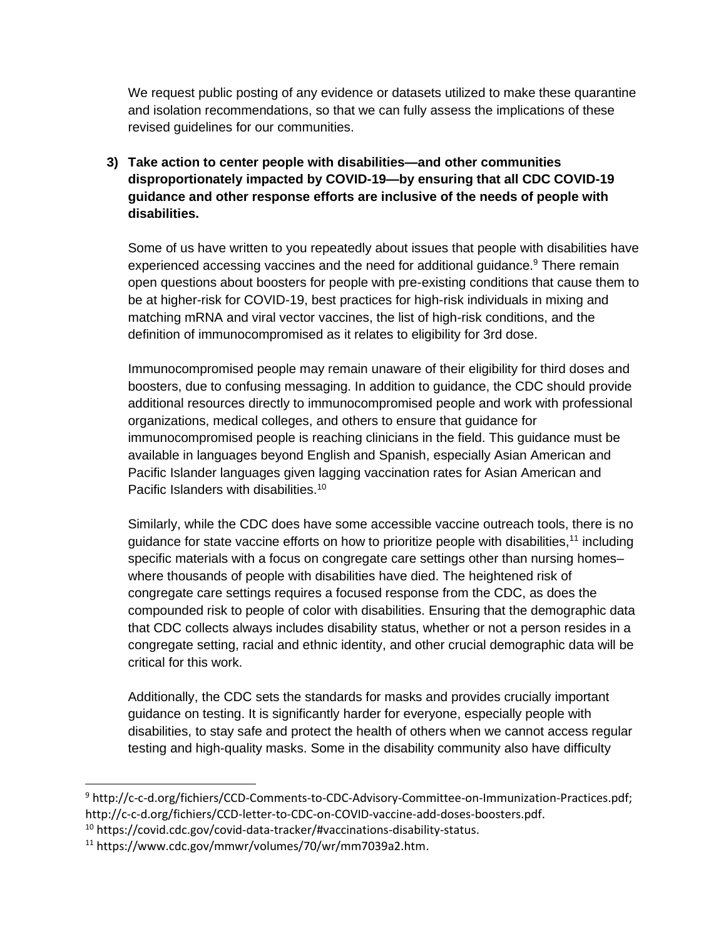We request public posting of any evidence or datasets utilized to make these quarantine and isolation recommendations, so that we can fully assess the implications of these revised guidelines for our communities.

**3) Take action to center people with disabilities—and other communities disproportionately impacted by COVID-19—by ensuring that all CDC COVID-19 guidance and other response efforts are inclusive of the needs of people with disabilities.** 

Some of us have written to you repeatedly about issues that people with disabilities have experienced accessing vaccines and the need for additional guidance.<sup>9</sup> There remain open questions about boosters for people with pre-existing conditions that cause them to be at higher-risk for COVID-19, best practices for high-risk individuals in mixing and matching mRNA and viral vector vaccines, the list of high-risk conditions, and the definition of immunocompromised as it relates to eligibility for 3rd dose.

Immunocompromised people may remain unaware of their eligibility for third doses and boosters, due to confusing messaging. In addition to guidance, the CDC should provide additional resources directly to immunocompromised people and work with professional organizations, medical colleges, and others to ensure that guidance for immunocompromised people is reaching clinicians in the field. This guidance must be available in languages beyond English and Spanish, especially Asian American and Pacific Islander languages given lagging vaccination rates for Asian American and Pacific Islanders with disabilities.<sup>10</sup>

Similarly, while the CDC does have some accessible vaccine outreach tools, there is no guidance for state vaccine efforts on how to prioritize people with disabilities,<sup>11</sup> including specific materials with a focus on congregate care settings other than nursing homes– where thousands of people with disabilities have died. The heightened risk of congregate care settings requires a focused response from the CDC, as does the compounded risk to people of color with disabilities. Ensuring that the demographic data that CDC collects always includes disability status, whether or not a person resides in a congregate setting, racial and ethnic identity, and other crucial demographic data will be critical for this work.

Additionally, the CDC sets the standards for masks and provides crucially important guidance on testing. It is significantly harder for everyone, especially people with disabilities, to stay safe and protect the health of others when we cannot access regular testing and high-quality masks. Some in the disability community also have difficulty

<sup>9</sup> http://c-c-d.org/fichiers/CCD-Comments-to-CDC-Advisory-Committee-on-Immunization-Practices.pdf; http://c-c-d.org/fichiers/CCD-letter-to-CDC-on-COVID-vaccine-add-doses-boosters.pdf.

<sup>10</sup> https://covid.cdc.gov/covid-data-tracker/#vaccinations-disability-status.

<sup>11</sup> https://www.cdc.gov/mmwr/volumes/70/wr/mm7039a2.htm.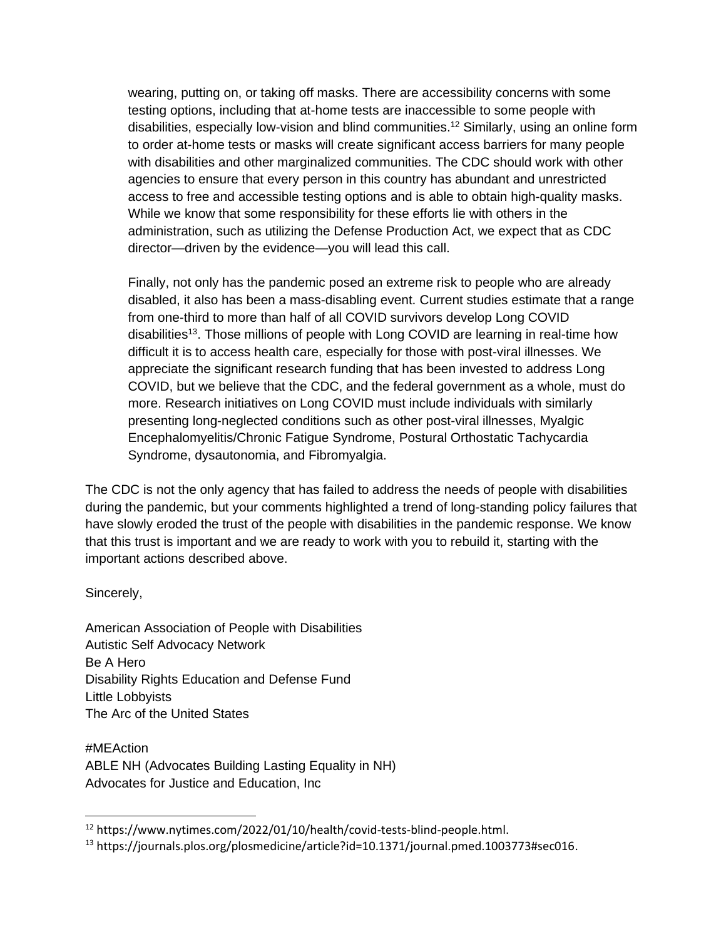wearing, putting on, or taking off masks. There are accessibility concerns with some testing options, including that at-home tests are inaccessible to some people with disabilities, especially low-vision and blind communities.<sup>12</sup> Similarly, using an online form to order at-home tests or masks will create significant access barriers for many people with disabilities and other marginalized communities. The CDC should work with other agencies to ensure that every person in this country has abundant and unrestricted access to free and accessible testing options and is able to obtain high-quality masks. While we know that some responsibility for these efforts lie with others in the administration, such as utilizing the Defense Production Act, we expect that as CDC director—driven by the evidence—you will lead this call.

Finally, not only has the pandemic posed an extreme risk to people who are already disabled, it also has been a mass-disabling event. Current studies estimate that a range from one-third to more than half of all COVID survivors develop Long COVID disabilities<sup>13</sup>. Those millions of people with Long COVID are learning in real-time how difficult it is to access health care, especially for those with post-viral illnesses. We appreciate the significant research funding that has been invested to address Long COVID, but we believe that the CDC, and the federal government as a whole, must do more. Research initiatives on Long COVID must include individuals with similarly presenting long-neglected conditions such as other post-viral illnesses, Myalgic Encephalomyelitis/Chronic Fatigue Syndrome, Postural Orthostatic Tachycardia Syndrome, dysautonomia, and Fibromyalgia.

The CDC is not the only agency that has failed to address the needs of people with disabilities during the pandemic, but your comments highlighted a trend of long-standing policy failures that have slowly eroded the trust of the people with disabilities in the pandemic response. We know that this trust is important and we are ready to work with you to rebuild it, starting with the important actions described above.

Sincerely,

American Association of People with Disabilities Autistic Self Advocacy Network Be A Hero Disability Rights Education and Defense Fund Little Lobbyists The Arc of the United States

#MEAction ABLE NH (Advocates Building Lasting Equality in NH) Advocates for Justice and Education, Inc

<sup>12</sup> https://www.nytimes.com/2022/01/10/health/covid-tests-blind-people.html.

<sup>13</sup> https://journals.plos.org/plosmedicine/article?id=10.1371/journal.pmed.1003773#sec016.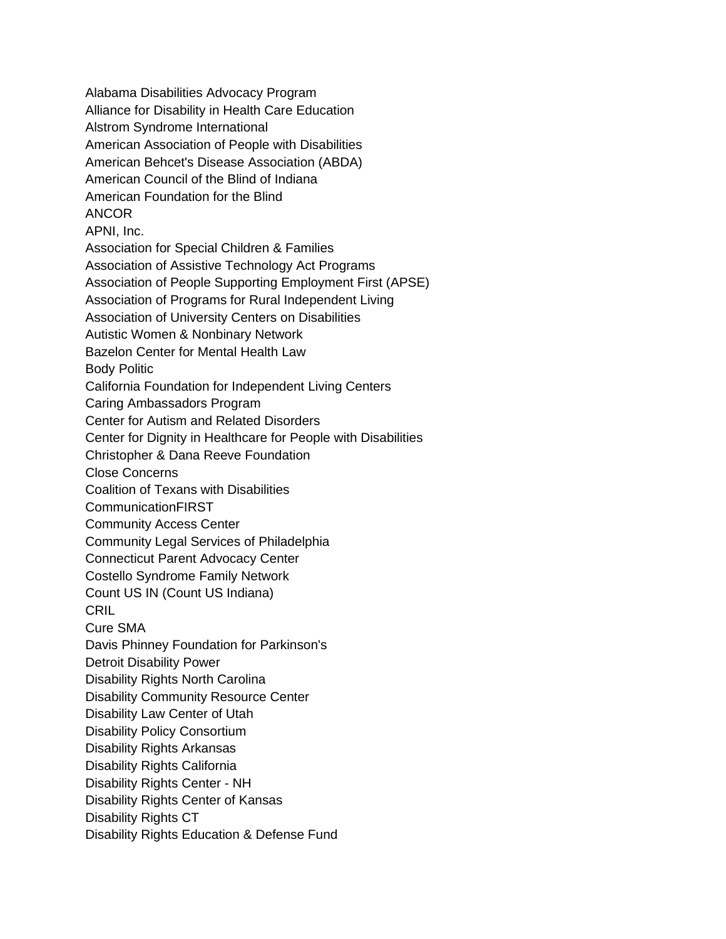Alabama Disabilities Advocacy Program Alliance for Disability in Health Care Education Alstrom Syndrome International American Association of People with Disabilities American Behcet's Disease Association (ABDA) American Council of the Blind of Indiana American Foundation for the Blind ANCOR APNI, Inc. Association for Special Children & Families Association of Assistive Technology Act Programs Association of People Supporting Employment First (APSE) Association of Programs for Rural Independent Living Association of University Centers on Disabilities Autistic Women & Nonbinary Network Bazelon Center for Mental Health Law Body Politic California Foundation for Independent Living Centers Caring Ambassadors Program Center for Autism and Related Disorders Center for Dignity in Healthcare for People with Disabilities Christopher & Dana Reeve Foundation Close Concerns Coalition of Texans with Disabilities CommunicationFIRST Community Access Center Community Legal Services of Philadelphia Connecticut Parent Advocacy Center Costello Syndrome Family Network Count US IN (Count US Indiana) CRIL Cure SMA Davis Phinney Foundation for Parkinson's Detroit Disability Power Disability Rights North Carolina Disability Community Resource Center Disability Law Center of Utah Disability Policy Consortium Disability Rights Arkansas Disability Rights California Disability Rights Center - NH Disability Rights Center of Kansas Disability Rights CT Disability Rights Education & Defense Fund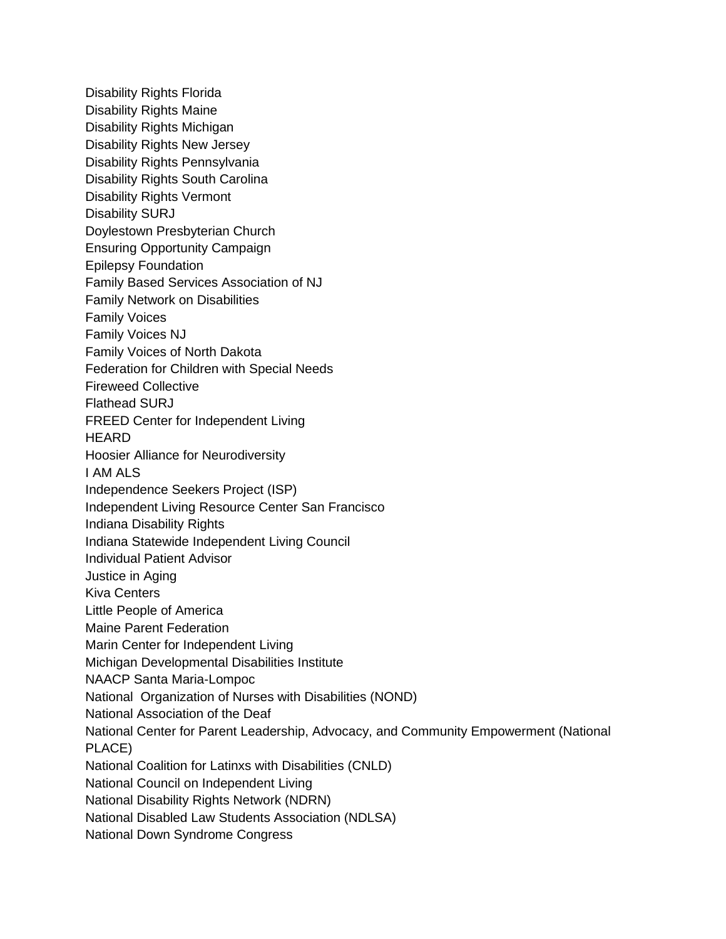Disability Rights Florida Disability Rights Maine Disability Rights Michigan Disability Rights New Jersey Disability Rights Pennsylvania Disability Rights South Carolina Disability Rights Vermont Disability SURJ Doylestown Presbyterian Church Ensuring Opportunity Campaign Epilepsy Foundation Family Based Services Association of NJ Family Network on Disabilities Family Voices Family Voices NJ Family Voices of North Dakota Federation for Children with Special Needs Fireweed Collective Flathead SURJ FREED Center for Independent Living **HEARD** Hoosier Alliance for Neurodiversity I AM ALS Independence Seekers Project (ISP) Independent Living Resource Center San Francisco Indiana Disability Rights Indiana Statewide Independent Living Council Individual Patient Advisor Justice in Aging Kiva Centers Little People of America Maine Parent Federation Marin Center for Independent Living Michigan Developmental Disabilities Institute NAACP Santa Maria-Lompoc National Organization of Nurses with Disabilities (NOND) National Association of the Deaf National Center for Parent Leadership, Advocacy, and Community Empowerment (National PLACE) National Coalition for Latinxs with Disabilities (CNLD) National Council on Independent Living National Disability Rights Network (NDRN) National Disabled Law Students Association (NDLSA) National Down Syndrome Congress